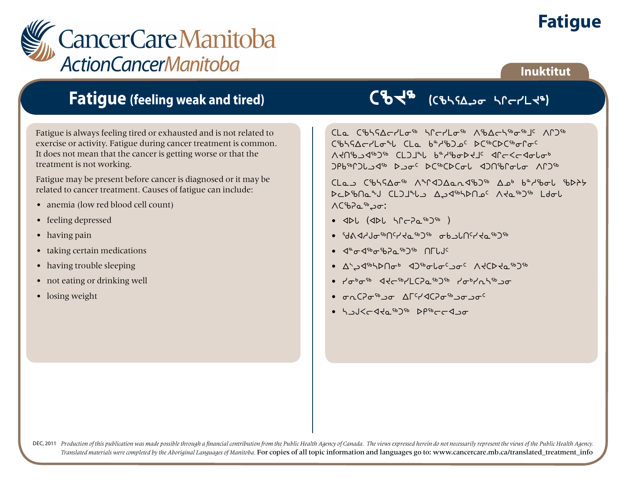



## **Inuktitut**

## **Fatigue (feeling weak and tired)**

Fatigue is always feeling tired or exhausted and is not related to exercise or activity. Fatigue during cancer treatment is common. It does not mean that the cancer is getting worse or that the treatment is not working.

Fatigue may be present before cancer is diagnosed or it may be related to cancer treatment. Causes of fatigue can include:

- anemia (low red blood cell count)
- feeling depressed
- having pain
- taking certain medications
- having trouble sleeping
- not eating or drinking well
- losing weight

CBCB (CBLSAJO LICTLY")

CLa CibhSAcrLo<sup>sb</sup> hCcrLosb AibAchsbosbJC ACD5b C%554cclo% CLa bec%Dac DC%CDC%orgc Adresdag<sup>2</sup> CL2Jib bedibabedic dlc<cdapab  $29b^{56}$  $2b$ 

 $CLa$ )  $C^{6}b^{5}A\sigma^{6}$   $\Lambda^{9}C^{4}A$ ) $\Delta a\Lambda^{9}b^{3}$   $\Delta a^{6}$   $b^{2}A^{6}b\sigma b$   $b^{3}A^{2}b$ DCD <sup>1</sup>bna <sup>2</sup>J CL J<sup>q</sup>U AJ 4<sup>6</sup>bhna C Ada<sup>6</sup> D<sup>66</sup> Ldol MCbPa<sup>Sb</sup>20:

- $\bullet$   $\triangleleft$ DL  $\triangleleft$ DL  $\triangleleft$ PC $\geq$  $\triangle$ <sup>sb</sup> $\geq$ <sup>56</sup> )
- $dAY$ de $dAY$ de $dAY$ de $dAY$ ang $dAY$
- $\bullet$   $\triangleleft^{\alpha}$  $\sigma$  $\triangleleft^{\varsigma_{b}}$  $\sigma$  $\triangleleft^{\varsigma_{b}}$  $\rho$  $\circ$  $\circ$  $\circ$   $\circ$   $\cap$   $\Gamma$
- 1,74 p/b/Uqp 4 Spectaco V4CD40 p/p
- $\sqrt{a^{6} \sigma^{6}}$   $\sqrt{a^{6} \sigma^{6}}$   $\sqrt{a^{6} \sigma^{6}}$   $\sqrt{a^{6} \sigma^{6}}$   $\sqrt{a^{6} \sigma^{6}}$
- Jorden Blanch World in the Control in the Control of Control of Control of Control of Control of Control of Co
- halst <sup>96</sup>0 srbeed so

DEC, 2011 Production of this publication was made possible through a financial contribution from the Public Health Agency of Canada. The views expressed herein do not necessarily represent the views of the Public Health Ag *Translated materials were completed by the Aboriginal Languages of Manitoba.* For copies of all topic information and languages go to: www.cancercare.mb.ca/translated\_treatment\_info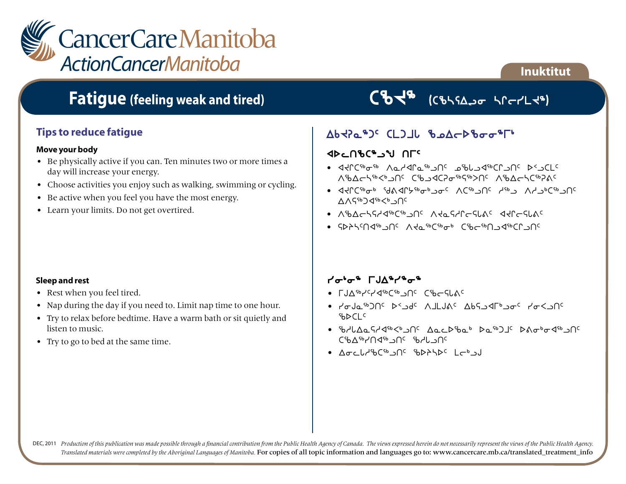

## **Fatigue (feeling weak and tired)**

## **Tips to reduce fatigue**

#### **Move your body**

- Be physically active if you can. Ten minutes two or more times a day will increase your energy.
- Choose activities you enjoy such as walking, swimming or cycling.
- Be active when you feel you have the most energy.
- Learn your limits. Do not get overtired.

# CBCB (CBLSAJO LICTLY")

**Inuktitut**

## AbtPa\$JC CLJLL BAACDBooPFL

### **XDCNSCASY ULC**

- xJQb6i6 WNhxQN6lt5 kcZlx6bQlt5 s2lbm5 Wcwon6X4lt5 bclxbDi6Cé6St5 Wcwonb6DF5
- $\bullet$  adder the sequence of the society of  $\mathcal{M}_{\mathcal{A}}$  and  $\mathcal{M}_{\mathcal{A}}$  $AAG^{6b}$  $A^{6b}$  $C^b$ <sub>2</sub> $C^c$
- WcwonChx6b6lt5 WJNChQoCZF5 xJQoCZF5
- GDASCOS من المالية المعاملة الأولى المعاملة المعاملة المعاملة المعاملة المعاملة المعاملة المعاملة المعاملة ا

#### **Sleep and rest**

- Rest when you feel tired.
- Nap during the day if you need to. Limit nap time to one hour.
- Try to relax before bedtime. Have a warm bath or sit quietly and listen to music.
- Try to go to bed at the same time.

### metang Fuangkang Parties

- LJA EYSTA GET UC CPFCLVC
- yiAN6gt5 s2lf5 WjmAF5 wvClxu4li5 yiXlt5  $b$
- 6/6/6/06/5/46/6/10 AccD60 ba6JLGDA6676JC of Juba onc the Change
- $\Delta \sigma_f$  with  $\Gamma^{5b}$  and  $\Gamma^{6}$  in  $\Delta \sigma_f$  is  $\Delta \sigma_f$

DEC, 2011 Production of this publication was made possible through a financial contribution from the Public Health Agency of Canada. The views expressed herein do not necessarily represent the views of the Public Health Ag *Translated materials were completed by the Aboriginal Languages of Manitoba.* For copies of all topic information and languages go to: www.cancercare.mb.ca/translated\_treatment\_info